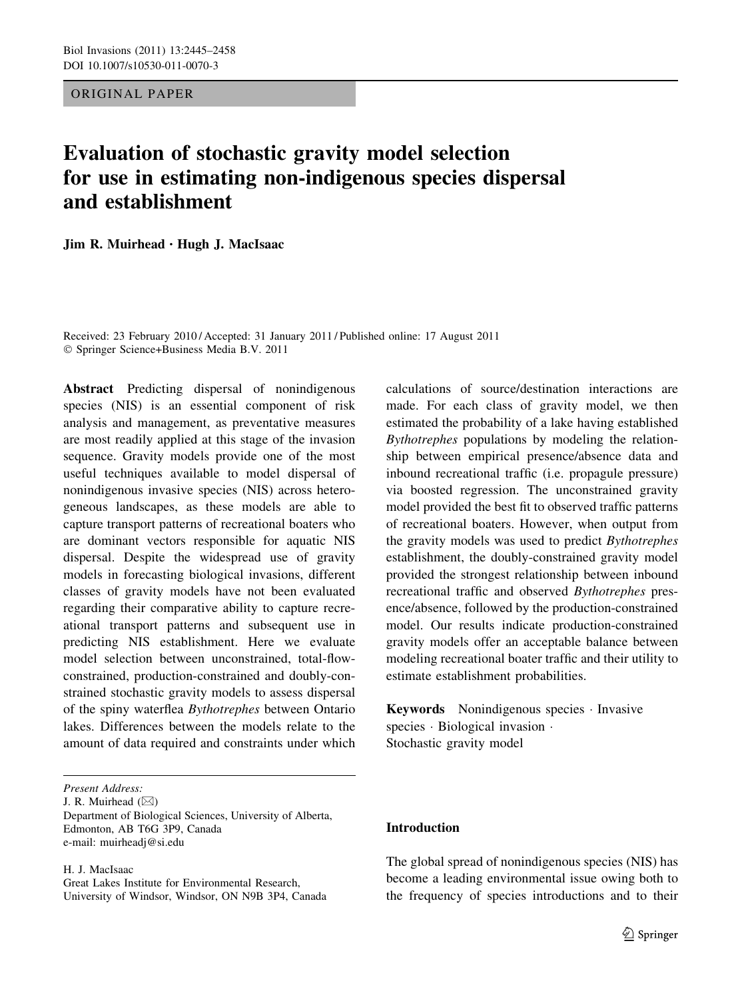ORIGINAL PAPER

# Evaluation of stochastic gravity model selection for use in estimating non-indigenous species dispersal and establishment

Jim R. Muirhead • Hugh J. MacIsaac

Received: 23 February 2010 / Accepted: 31 January 2011 / Published online: 17 August 2011 © Springer Science+Business Media B.V. 2011

Abstract Predicting dispersal of nonindigenous species (NIS) is an essential component of risk analysis and management, as preventative measures are most readily applied at this stage of the invasion sequence. Gravity models provide one of the most useful techniques available to model dispersal of nonindigenous invasive species (NIS) across heterogeneous landscapes, as these models are able to capture transport patterns of recreational boaters who are dominant vectors responsible for aquatic NIS dispersal. Despite the widespread use of gravity models in forecasting biological invasions, different classes of gravity models have not been evaluated regarding their comparative ability to capture recreational transport patterns and subsequent use in predicting NIS establishment. Here we evaluate model selection between unconstrained, total-flowconstrained, production-constrained and doubly-constrained stochastic gravity models to assess dispersal of the spiny waterflea Bythotrephes between Ontario lakes. Differences between the models relate to the amount of data required and constraints under which

J. R. Muirhead  $(\boxtimes)$ 

#### H. J. MacIsaac

Great Lakes Institute for Environmental Research, University of Windsor, Windsor, ON N9B 3P4, Canada calculations of source/destination interactions are made. For each class of gravity model, we then estimated the probability of a lake having established Bythotrephes populations by modeling the relationship between empirical presence/absence data and inbound recreational traffic (i.e. propagule pressure) via boosted regression. The unconstrained gravity model provided the best fit to observed traffic patterns of recreational boaters. However, when output from the gravity models was used to predict Bythotrephes establishment, the doubly-constrained gravity model provided the strongest relationship between inbound recreational traffic and observed Bythotrephes presence/absence, followed by the production-constrained model. Our results indicate production-constrained gravity models offer an acceptable balance between modeling recreational boater traffic and their utility to estimate establishment probabilities.

Keywords Nonindigenous species - Invasive species - Biological invasion - Stochastic gravity model

# Introduction

The global spread of nonindigenous species (NIS) has become a leading environmental issue owing both to the frequency of species introductions and to their

Present Address:

Department of Biological Sciences, University of Alberta, Edmonton, AB T6G 3P9, Canada e-mail: muirheadj@si.edu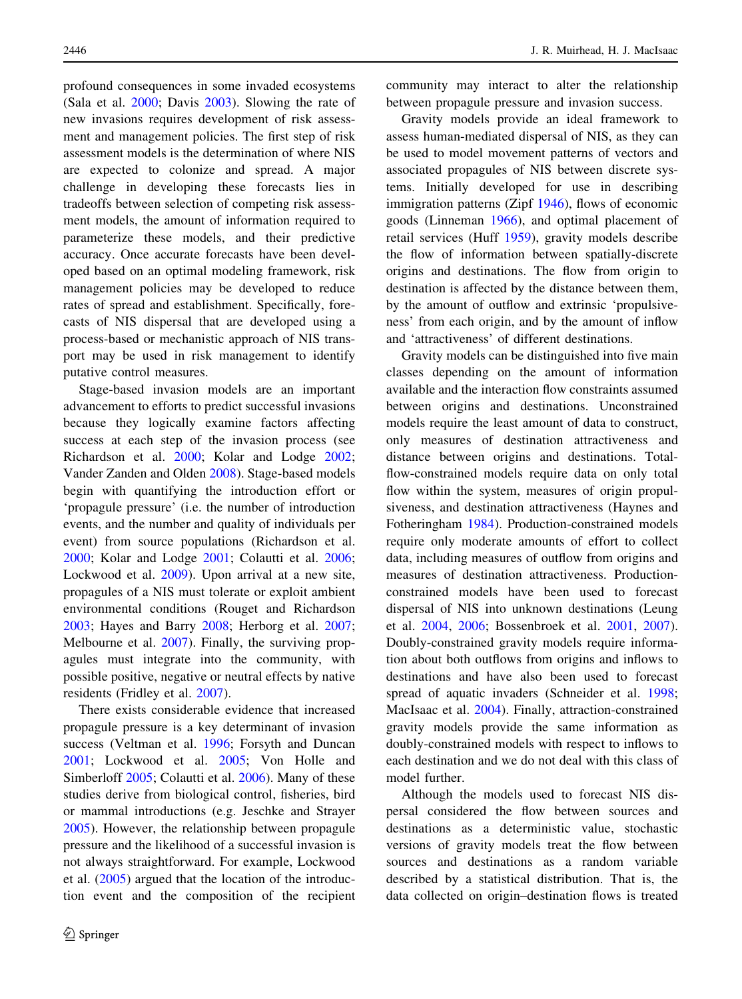profound consequences in some invaded ecosystems (Sala et al. [2000;](#page-13-0) Davis [2003\)](#page-12-0). Slowing the rate of new invasions requires development of risk assessment and management policies. The first step of risk assessment models is the determination of where NIS are expected to colonize and spread. A major challenge in developing these forecasts lies in tradeoffs between selection of competing risk assessment models, the amount of information required to parameterize these models, and their predictive accuracy. Once accurate forecasts have been developed based on an optimal modeling framework, risk management policies may be developed to reduce rates of spread and establishment. Specifically, forecasts of NIS dispersal that are developed using a process-based or mechanistic approach of NIS transport may be used in risk management to identify putative control measures.

Stage-based invasion models are an important advancement to efforts to predict successful invasions because they logically examine factors affecting success at each step of the invasion process (see Richardson et al. [2000](#page-13-0); Kolar and Lodge [2002](#page-12-0); Vander Zanden and Olden [2008](#page-13-0)). Stage-based models begin with quantifying the introduction effort or 'propagule pressure' (i.e. the number of introduction events, and the number and quality of individuals per event) from source populations (Richardson et al. [2000;](#page-13-0) Kolar and Lodge [2001;](#page-12-0) Colautti et al. [2006](#page-12-0); Lockwood et al. [2009\)](#page-12-0). Upon arrival at a new site, propagules of a NIS must tolerate or exploit ambient environmental conditions (Rouget and Richardson [2003;](#page-13-0) Hayes and Barry [2008](#page-12-0); Herborg et al. [2007](#page-12-0); Melbourne et al. [2007\)](#page-13-0). Finally, the surviving propagules must integrate into the community, with possible positive, negative or neutral effects by native residents (Fridley et al. [2007\)](#page-12-0).

There exists considerable evidence that increased propagule pressure is a key determinant of invasion success (Veltman et al. [1996;](#page-13-0) Forsyth and Duncan [2001;](#page-12-0) Lockwood et al. [2005](#page-12-0); Von Holle and Simberloff [2005;](#page-13-0) Colautti et al. [2006\)](#page-12-0). Many of these studies derive from biological control, fisheries, bird or mammal introductions (e.g. Jeschke and Strayer [2005\)](#page-12-0). However, the relationship between propagule pressure and the likelihood of a successful invasion is not always straightforward. For example, Lockwood et al. [\(2005](#page-12-0)) argued that the location of the introduction event and the composition of the recipient community may interact to alter the relationship between propagule pressure and invasion success.

Gravity models provide an ideal framework to assess human-mediated dispersal of NIS, as they can be used to model movement patterns of vectors and associated propagules of NIS between discrete systems. Initially developed for use in describing immigration patterns (Zipf [1946](#page-13-0)), flows of economic goods (Linneman [1966\)](#page-12-0), and optimal placement of retail services (Huff [1959\)](#page-12-0), gravity models describe the flow of information between spatially-discrete origins and destinations. The flow from origin to destination is affected by the distance between them, by the amount of outflow and extrinsic 'propulsiveness' from each origin, and by the amount of inflow and 'attractiveness' of different destinations.

Gravity models can be distinguished into five main classes depending on the amount of information available and the interaction flow constraints assumed between origins and destinations. Unconstrained models require the least amount of data to construct, only measures of destination attractiveness and distance between origins and destinations. Totalflow-constrained models require data on only total flow within the system, measures of origin propulsiveness, and destination attractiveness (Haynes and Fotheringham [1984\)](#page-12-0). Production-constrained models require only moderate amounts of effort to collect data, including measures of outflow from origins and measures of destination attractiveness. Productionconstrained models have been used to forecast dispersal of NIS into unknown destinations (Leung et al. [2004,](#page-12-0) [2006;](#page-12-0) Bossenbroek et al. [2001](#page-12-0), [2007](#page-12-0)). Doubly-constrained gravity models require information about both outflows from origins and inflows to destinations and have also been used to forecast spread of aquatic invaders (Schneider et al. [1998](#page-13-0); MacIsaac et al. [2004\)](#page-12-0). Finally, attraction-constrained gravity models provide the same information as doubly-constrained models with respect to inflows to each destination and we do not deal with this class of model further.

Although the models used to forecast NIS dispersal considered the flow between sources and destinations as a deterministic value, stochastic versions of gravity models treat the flow between sources and destinations as a random variable described by a statistical distribution. That is, the data collected on origin–destination flows is treated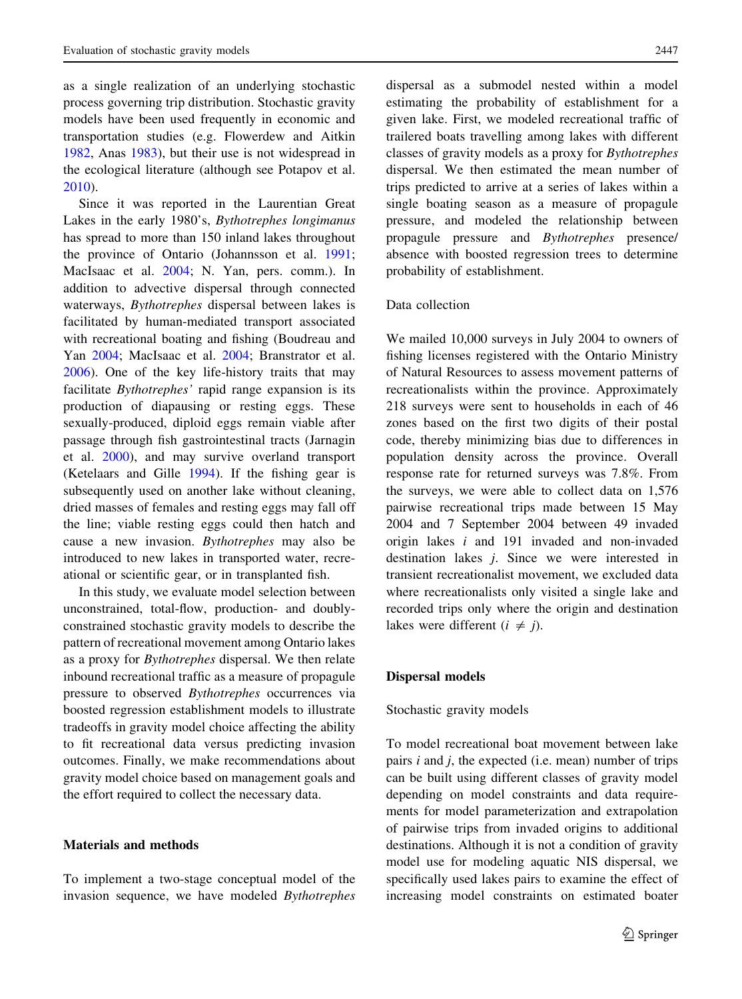as a single realization of an underlying stochastic process governing trip distribution. Stochastic gravity models have been used frequently in economic and transportation studies (e.g. Flowerdew and Aitkin [1982,](#page-12-0) Anas [1983](#page-11-0)), but their use is not widespread in the ecological literature (although see Potapov et al. [2010\)](#page-13-0).

Since it was reported in the Laurentian Great Lakes in the early 1980's, Bythotrephes longimanus has spread to more than 150 inland lakes throughout the province of Ontario (Johannsson et al. [1991](#page-12-0); MacIsaac et al. [2004](#page-12-0); N. Yan, pers. comm.). In addition to advective dispersal through connected waterways, Bythotrephes dispersal between lakes is facilitated by human-mediated transport associated with recreational boating and fishing (Boudreau and Yan [2004;](#page-12-0) MacIsaac et al. [2004;](#page-12-0) Branstrator et al. [2006\)](#page-12-0). One of the key life-history traits that may facilitate Bythotrephes' rapid range expansion is its production of diapausing or resting eggs. These sexually-produced, diploid eggs remain viable after passage through fish gastrointestinal tracts (Jarnagin et al. [2000](#page-12-0)), and may survive overland transport (Ketelaars and Gille [1994\)](#page-12-0). If the fishing gear is subsequently used on another lake without cleaning, dried masses of females and resting eggs may fall off the line; viable resting eggs could then hatch and cause a new invasion. Bythotrephes may also be introduced to new lakes in transported water, recreational or scientific gear, or in transplanted fish.

In this study, we evaluate model selection between unconstrained, total-flow, production- and doublyconstrained stochastic gravity models to describe the pattern of recreational movement among Ontario lakes as a proxy for Bythotrephes dispersal. We then relate inbound recreational traffic as a measure of propagule pressure to observed Bythotrephes occurrences via boosted regression establishment models to illustrate tradeoffs in gravity model choice affecting the ability to fit recreational data versus predicting invasion outcomes. Finally, we make recommendations about gravity model choice based on management goals and the effort required to collect the necessary data.

## Materials and methods

To implement a two-stage conceptual model of the invasion sequence, we have modeled Bythotrephes dispersal as a submodel nested within a model estimating the probability of establishment for a given lake. First, we modeled recreational traffic of trailered boats travelling among lakes with different classes of gravity models as a proxy for Bythotrephes dispersal. We then estimated the mean number of trips predicted to arrive at a series of lakes within a single boating season as a measure of propagule pressure, and modeled the relationship between propagule pressure and Bythotrephes presence/ absence with boosted regression trees to determine probability of establishment.

# Data collection

We mailed 10,000 surveys in July 2004 to owners of fishing licenses registered with the Ontario Ministry of Natural Resources to assess movement patterns of recreationalists within the province. Approximately 218 surveys were sent to households in each of 46 zones based on the first two digits of their postal code, thereby minimizing bias due to differences in population density across the province. Overall response rate for returned surveys was 7.8%. From the surveys, we were able to collect data on 1,576 pairwise recreational trips made between 15 May 2004 and 7 September 2004 between 49 invaded origin lakes i and 191 invaded and non-invaded destination lakes j. Since we were interested in transient recreationalist movement, we excluded data where recreationalists only visited a single lake and recorded trips only where the origin and destination lakes were different  $(i \neq j)$ .

## Dispersal models

# Stochastic gravity models

To model recreational boat movement between lake pairs  $i$  and  $j$ , the expected (i.e. mean) number of trips can be built using different classes of gravity model depending on model constraints and data requirements for model parameterization and extrapolation of pairwise trips from invaded origins to additional destinations. Although it is not a condition of gravity model use for modeling aquatic NIS dispersal, we specifically used lakes pairs to examine the effect of increasing model constraints on estimated boater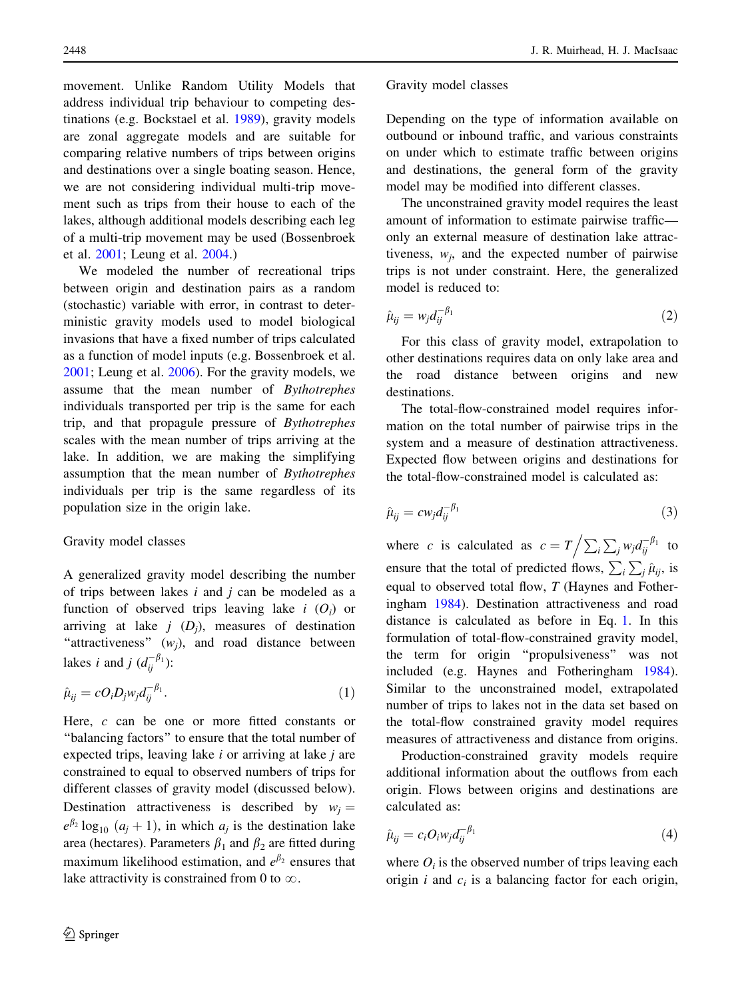<span id="page-3-0"></span>movement. Unlike Random Utility Models that address individual trip behaviour to competing destinations (e.g. Bockstael et al. [1989](#page-11-0)), gravity models are zonal aggregate models and are suitable for comparing relative numbers of trips between origins and destinations over a single boating season. Hence, we are not considering individual multi-trip movement such as trips from their house to each of the lakes, although additional models describing each leg of a multi-trip movement may be used (Bossenbroek et al. [2001](#page-12-0); Leung et al. [2004](#page-12-0).)

We modeled the number of recreational trips between origin and destination pairs as a random (stochastic) variable with error, in contrast to deterministic gravity models used to model biological invasions that have a fixed number of trips calculated as a function of model inputs (e.g. Bossenbroek et al. [2001;](#page-12-0) Leung et al. [2006](#page-12-0)). For the gravity models, we assume that the mean number of Bythotrephes individuals transported per trip is the same for each trip, and that propagule pressure of Bythotrephes scales with the mean number of trips arriving at the lake. In addition, we are making the simplifying assumption that the mean number of Bythotrephes individuals per trip is the same regardless of its population size in the origin lake.

#### Gravity model classes

A generalized gravity model describing the number of trips between lakes  $i$  and  $j$  can be modeled as a function of observed trips leaving lake  $i$  ( $O_i$ ) or arriving at lake  $j$  ( $D_i$ ), measures of destination "attractiveness"  $(w_j)$ , and road distance between lakes *i* and *j*  $(d_{ij}^{-\beta_1})$ :

$$
\hat{\mu}_{ij} = cO_i D_j w_j d_{ij}^{-\beta_1}.
$$
\n(1)

Here, c can be one or more fitted constants or ''balancing factors'' to ensure that the total number of expected trips, leaving lake  $i$  or arriving at lake  $j$  are constrained to equal to observed numbers of trips for different classes of gravity model (discussed below). Destination attractiveness is described by  $w_i =$  $e^{\beta_2} \log_{10} (a_j + 1)$ , in which  $a_j$  is the destination lake area (hectares). Parameters  $\beta_1$  and  $\beta_2$  are fitted during maximum likelihood estimation, and  $e^{\beta_2}$  ensures that lake attractivity is constrained from 0 to  $\infty$ .

#### Gravity model classes

Depending on the type of information available on outbound or inbound traffic, and various constraints on under which to estimate traffic between origins and destinations, the general form of the gravity model may be modified into different classes.

The unconstrained gravity model requires the least amount of information to estimate pairwise traffic only an external measure of destination lake attractiveness,  $w_i$ , and the expected number of pairwise trips is not under constraint. Here, the generalized model is reduced to:

$$
\hat{\mu}_{ij} = w_j d_{ij}^{-\beta_1} \tag{2}
$$

For this class of gravity model, extrapolation to other destinations requires data on only lake area and the road distance between origins and new destinations.

The total-flow-constrained model requires information on the total number of pairwise trips in the system and a measure of destination attractiveness. Expected flow between origins and destinations for the total-flow-constrained model is calculated as:

$$
\hat{\mu}_{ij} = c w_j d_{ij}^{-\beta_1} \tag{3}
$$

where c is calculated as  $c = T / \sum_i \sum_j w_j d_{ij}^{-\beta_1}$  to ensure that the total of predicted flows,  $\sum_i \sum_j \hat{\mu}_{ij}$ , is equal to observed total flow,  $T$  (Haynes and Fotheringham [1984](#page-12-0)). Destination attractiveness and road distance is calculated as before in Eq. 1. In this formulation of total-flow-constrained gravity model, the term for origin ''propulsiveness'' was not included (e.g. Haynes and Fotheringham [1984](#page-12-0)). Similar to the unconstrained model, extrapolated number of trips to lakes not in the data set based on the total-flow constrained gravity model requires measures of attractiveness and distance from origins.

Production-constrained gravity models require additional information about the outflows from each origin. Flows between origins and destinations are calculated as:

$$
\hat{\mu}_{ij} = c_i O_i w_j d_{ij}^{-\beta_1} \tag{4}
$$

where  $O_i$  is the observed number of trips leaving each origin i and  $c_i$  is a balancing factor for each origin,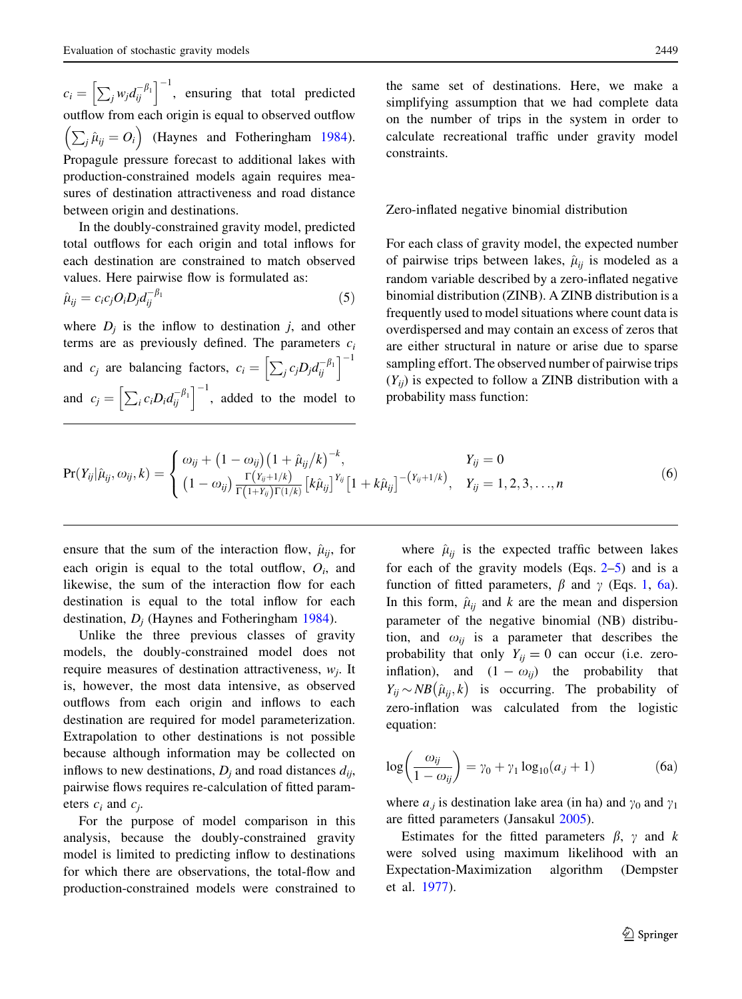<span id="page-4-0"></span> $c_i = \left[ \sum_j w_j d_{ij}^{-\beta_1} \right]^{-1}$ , ensuring that total predicted outflow from each origin is equal to observed outflow  $\sum_j \hat{\mu}_{ij} = O_i$  $\left(\sum_i \hat{\mu}_{ij} = O_i\right)$  (Haynes and Fotheringham [1984](#page-12-0)). Propagule pressure forecast to additional lakes with production-constrained models again requires measures of destination attractiveness and road distance between origin and destinations.

In the doubly-constrained gravity model, predicted total outflows for each origin and total inflows for each destination are constrained to match observed values. Here pairwise flow is formulated as:

$$
\hat{\mu}_{ij} = c_i c_j O_i D_j d_{ij}^{-\beta_1} \tag{5}
$$

where  $D_i$  is the inflow to destination j, and other terms are as previously defined. The parameters  $c_i$ and  $c_j$  are balancing factors,  $c_i = \left[\sum_j c_j D_j d_{ij}^{-\beta_1}\right]^{-1}$ and  $c_j = \left[ \sum_i c_i D_i d_{ij}^{-\beta_1} \right]^{-1}$ , added to the model to

the same set of destinations. Here, we make a simplifying assumption that we had complete data on the number of trips in the system in order to calculate recreational traffic under gravity model constraints.

Zero-inflated negative binomial distribution

For each class of gravity model, the expected number of pairwise trips between lakes,  $\hat{\mu}_{ij}$  is modeled as a random variable described by a zero-inflated negative binomial distribution (ZINB). A ZINB distribution is a frequently used to model situations where count data is overdispersed and may contain an excess of zeros that are either structural in nature or arise due to sparse sampling effort. The observed number of pairwise trips  $(Y_{ii})$  is expected to follow a ZINB distribution with a probability mass function:

$$
Pr(Y_{ij}|\hat{\mu}_{ij},\omega_{ij},k) = \begin{cases} \omega_{ij} + (1-\omega_{ij})(1+\hat{\mu}_{ij}/k)^{-k}, & Y_{ij} = 0\\ (1-\omega_{ij})\frac{\Gamma(Y_{ij}+1/k)}{\Gamma(1+Y_{ij})\Gamma(1/k)}\left[k\hat{\mu}_{ij}\right]^{Y_{ij}}\left[1+k\hat{\mu}_{ij}\right]^{-(Y_{ij}+1/k)}, & Y_{ij} = 1,2,3,\ldots,n \end{cases}
$$
(6)

ensure that the sum of the interaction flow,  $\hat{\mu}_{ij}$ , for each origin is equal to the total outflow,  $O_i$ , and likewise, the sum of the interaction flow for each destination is equal to the total inflow for each destination,  $D_i$  (Haynes and Fotheringham [1984\)](#page-12-0).

Unlike the three previous classes of gravity models, the doubly-constrained model does not require measures of destination attractiveness,  $w_j$ . It is, however, the most data intensive, as observed outflows from each origin and inflows to each destination are required for model parameterization. Extrapolation to other destinations is not possible because although information may be collected on inflows to new destinations,  $D_i$  and road distances  $d_{ii}$ , pairwise flows requires re-calculation of fitted parameters  $c_i$  and  $c_j$ .

For the purpose of model comparison in this analysis, because the doubly-constrained gravity model is limited to predicting inflow to destinations for which there are observations, the total-flow and production-constrained models were constrained to

where  $\hat{\mu}_{ii}$  is the expected traffic between lakes for each of the gravity models (Eqs.  $2-5$  $2-5$ ) and is a function of fitted parameters,  $\beta$  and  $\gamma$  (Eqs. [1](#page-3-0), 6a). In this form,  $\hat{\mu}_{ij}$  and k are the mean and dispersion parameter of the negative binomial (NB) distribution, and  $\omega_{ij}$  is a parameter that describes the probability that only  $Y_{ij} = 0$  can occur (i.e. zeroinflation), and  $(1 - \omega_{ij})$  the probability that  $Y_{ii} \sim NB(\hat{\mu}_{ii}, k)$  is occurring. The probability of zero-inflation was calculated from the logistic equation:

$$
\log\left(\frac{\omega_{ij}}{1-\omega_{ij}}\right) = \gamma_0 + \gamma_1 \log_{10}(a_j+1) \tag{6a}
$$

where  $a_j$  is destination lake area (in ha) and  $\gamma_0$  and  $\gamma_1$ are fitted parameters (Jansakul [2005\)](#page-12-0).

Estimates for the fitted parameters  $\beta$ ,  $\gamma$  and k were solved using maximum likelihood with an Expectation-Maximization algorithm (Dempster et al. [1977\)](#page-12-0).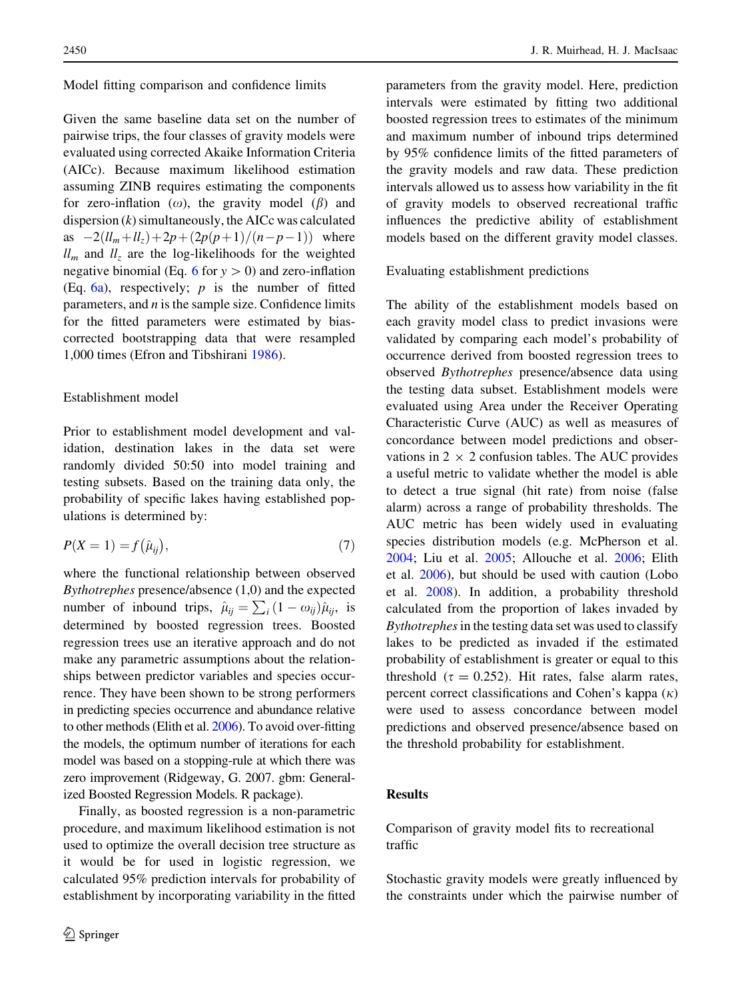## Model fitting comparison and confidence limits

Given the same baseline data set on the number of pairwise trips, the four classes of gravity models were evaluated using corrected Akaike Information Criteria (AICc). Because maximum likelihood estimation assuming ZINB requires estimating the components for zero-inflation ( $\omega$ ), the gravity model ( $\beta$ ) and dispersion  $(k)$  simultaneously, the AICc was calculated as  $-2(l_m + l_z) + 2p + (2p(p+1)/(n-p-1))$  where  $ll_m$  and  $ll_z$  are the log-likelihoods for the weighted negative binomial (Eq. [6](#page-4-0) for  $y > 0$ ) and zero-inflation (Eq.  $6a$ ), respectively; *p* is the number of fitted parameters, and  $n$  is the sample size. Confidence limits for the fitted parameters were estimated by biascorrected bootstrapping data that were resampled 1,000 times (Efron and Tibshirani [1986](#page-12-0)).

## Establishment model

Prior to establishment model development and validation, destination lakes in the data set were randomly divided 50:50 into model training and testing subsets. Based on the training data only, the probability of specific lakes having established populations is determined by:

$$
P(X=1) = f(\hat{\mu}_{ij}),\tag{7}
$$

where the functional relationship between observed Bythotrephes presence/absence (1,0) and the expected number of inbound trips,  $\hat{\mu}_{ij} = \sum_i (1 - \omega_{ij}) \hat{\mu}_{ij}$ , is determined by boosted regression trees. Boosted regression trees use an iterative approach and do not make any parametric assumptions about the relationships between predictor variables and species occurrence. They have been shown to be strong performers in predicting species occurrence and abundance relative to other methods (Elith et al. [2006\)](#page-12-0). To avoid over-fitting the models, the optimum number of iterations for each model was based on a stopping-rule at which there was zero improvement (Ridgeway, G. 2007. gbm: Generalized Boosted Regression Models. R package).

Finally, as boosted regression is a non-parametric procedure, and maximum likelihood estimation is not used to optimize the overall decision tree structure as it would be for used in logistic regression, we calculated 95% prediction intervals for probability of establishment by incorporating variability in the fitted

parameters from the gravity model. Here, prediction intervals were estimated by fitting two additional boosted regression trees to estimates of the minimum and maximum number of inbound trips determined by 95% confidence limits of the fitted parameters of the gravity models and raw data. These prediction intervals allowed us to assess how variability in the fit of gravity models to observed recreational traffic influences the predictive ability of establishment models based on the different gravity model classes.

Evaluating establishment predictions

The ability of the establishment models based on each gravity model class to predict invasions were validated by comparing each model's probability of occurrence derived from boosted regression trees to observed Bythotrephes presence/absence data using the testing data subset. Establishment models were evaluated using Area under the Receiver Operating Characteristic Curve (AUC) as well as measures of concordance between model predictions and observations in  $2 \times 2$  confusion tables. The AUC provides a useful metric to validate whether the model is able to detect a true signal (hit rate) from noise (false alarm) across a range of probability thresholds. The AUC metric has been widely used in evaluating species distribution models (e.g. McPherson et al. [2004;](#page-12-0) Liu et al. [2005;](#page-12-0) Allouche et al. [2006](#page-11-0); Elith et al. [2006](#page-12-0)), but should be used with caution (Lobo et al. [2008](#page-12-0)). In addition, a probability threshold calculated from the proportion of lakes invaded by Bythotrephes in the testing data set was used to classify lakes to be predicted as invaded if the estimated probability of establishment is greater or equal to this threshold ( $\tau = 0.252$ ). Hit rates, false alarm rates, percent correct classifications and Cohen's kappa  $(\kappa)$ were used to assess concordance between model predictions and observed presence/absence based on the threshold probability for establishment.

# Results

Comparison of gravity model fits to recreational traffic

Stochastic gravity models were greatly influenced by the constraints under which the pairwise number of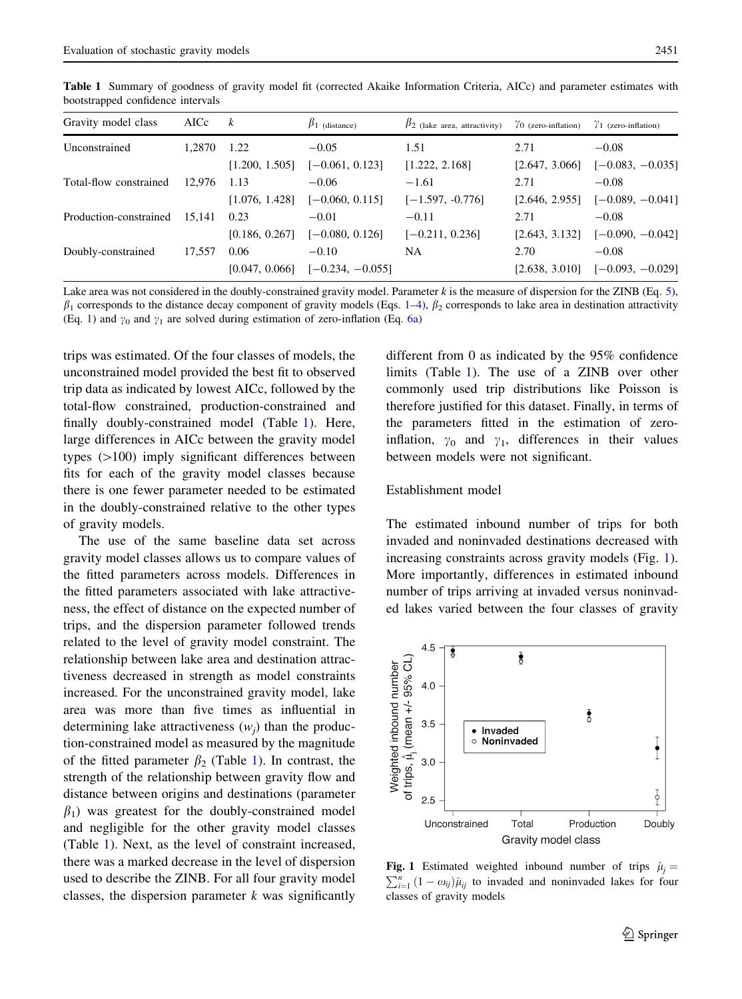| Gravity model class    | AICc   | $\mathbf{k}$   | $\beta_{1}$ (distance) | $\beta$ 2 (lake area, attractivity) | $\%$ (zero-inflation) | $\gamma_1$ (zero-inflation) |
|------------------------|--------|----------------|------------------------|-------------------------------------|-----------------------|-----------------------------|
| Unconstrained          | 1.2870 | 1.22           | $-0.05$                | 1.51                                | 2.71                  | $-0.08$                     |
|                        |        | [1.200, 1.505] | $[-0.061, 0.123]$      | [1.222, 2.168]                      | [2.647, 3.066]        | $[-0.083, -0.035]$          |
| Total-flow constrained | 12.976 | 1.13           | $-0.06$                | $-1.61$                             | 2.71                  | $-0.08$                     |
|                        |        | [1.076, 1.428] | $[-0.060, 0.115]$      | $[-1.597, -0.776]$                  | [2.646, 2.955]        | $[-0.089, -0.041]$          |
| Production-constrained | 15.141 | 0.23           | $-0.01$                | $-0.11$                             | 2.71                  | $-0.08$                     |
|                        |        | [0.186, 0.267] | $[-0.080, 0.126]$      | $[-0.211, 0.236]$                   | [2.643, 3.132]        | $[-0.090, -0.042]$          |
| Doubly-constrained     | 17,557 | 0.06           | $-0.10$                | <b>NA</b>                           | 2.70                  | $-0.08$                     |
|                        |        | [0.047, 0.066] | $[-0.234, -0.055]$     |                                     | [2.638, 3.010]        | $[-0.093, -0.029]$          |

<span id="page-6-0"></span>Table 1 Summary of goodness of gravity model fit (corrected Akaike Information Criteria, AICc) and parameter estimates with bootstrapped confidence intervals

Lake area was not considered in the doubly-constrained gravity model. Parameter k is the measure of dispersion for the ZINB (Eq. [5](#page-4-0)),  $\beta_1$  corresponds to the distance decay component of gravity models (Eqs. [1–4](#page-3-0)),  $\beta_2$  corresponds to lake area in destination attractivity (Eq. [1](#page-3-0)) and  $\gamma_0$  and  $\gamma_1$  are solved during estimation of zero-inflation (Eq. [6a\)](#page-4-0)

trips was estimated. Of the four classes of models, the unconstrained model provided the best fit to observed trip data as indicated by lowest AICc, followed by the total-flow constrained, production-constrained and finally doubly-constrained model (Table 1). Here, large differences in AICc between the gravity model types  $(>100)$  imply significant differences between fits for each of the gravity model classes because there is one fewer parameter needed to be estimated in the doubly-constrained relative to the other types of gravity models.

The use of the same baseline data set across gravity model classes allows us to compare values of the fitted parameters across models. Differences in the fitted parameters associated with lake attractiveness, the effect of distance on the expected number of trips, and the dispersion parameter followed trends related to the level of gravity model constraint. The relationship between lake area and destination attractiveness decreased in strength as model constraints increased. For the unconstrained gravity model, lake area was more than five times as influential in determining lake attractiveness  $(w_i)$  than the production-constrained model as measured by the magnitude of the fitted parameter  $\beta_2$  (Table 1). In contrast, the strength of the relationship between gravity flow and distance between origins and destinations (parameter  $\beta_1$ ) was greatest for the doubly-constrained model and negligible for the other gravity model classes (Table 1). Next, as the level of constraint increased, there was a marked decrease in the level of dispersion used to describe the ZINB. For all four gravity model classes, the dispersion parameter  $k$  was significantly

different from 0 as indicated by the 95% confidence limits (Table 1). The use of a ZINB over other commonly used trip distributions like Poisson is therefore justified for this dataset. Finally, in terms of the parameters fitted in the estimation of zeroinflation,  $\gamma_0$  and  $\gamma_1$ , differences in their values between models were not significant.

## Establishment model

The estimated inbound number of trips for both invaded and noninvaded destinations decreased with increasing constraints across gravity models (Fig. 1). More importantly, differences in estimated inbound number of trips arriving at invaded versus noninvaded lakes varied between the four classes of gravity



Fig. 1 Estimated weighted inbound number of trips  $\hat{\mu}_i =$  $\sum_{i=1}^{n} (1 - \omega_{ij})\hat{\mu}_{ij}$  to invaded and noninvaded lakes for four classes of gravity models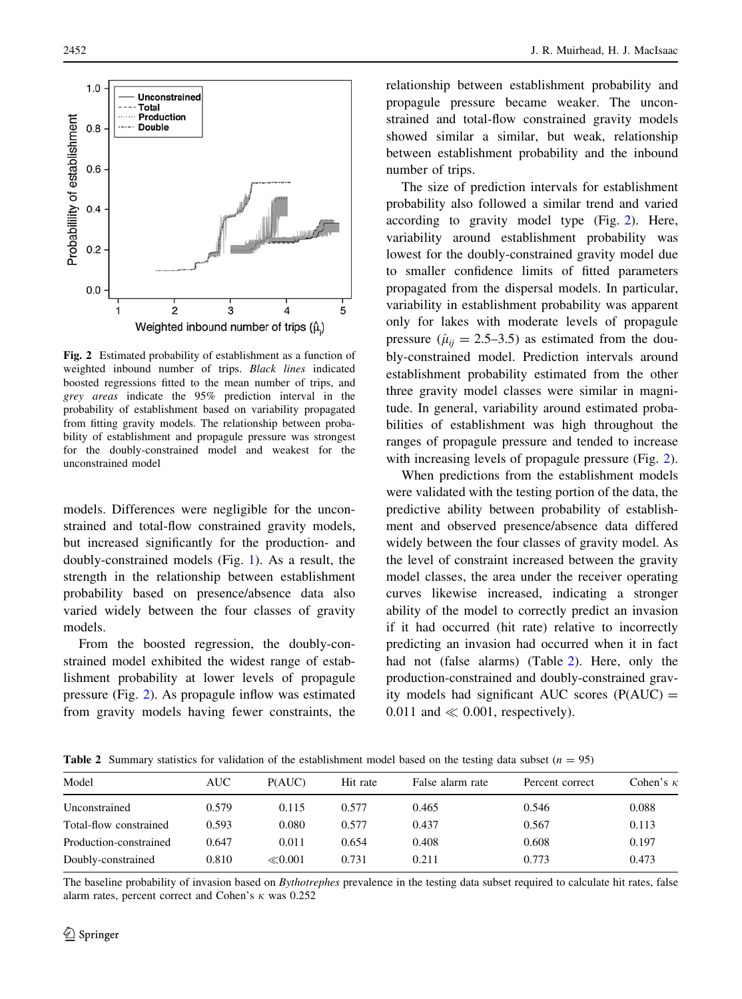<span id="page-7-0"></span>

Fig. 2 Estimated probability of establishment as a function of weighted inbound number of trips. Black lines indicated boosted regressions fitted to the mean number of trips, and grey areas indicate the 95% prediction interval in the probability of establishment based on variability propagated from fitting gravity models. The relationship between probability of establishment and propagule pressure was strongest for the doubly-constrained model and weakest for the unconstrained model

models. Differences were negligible for the unconstrained and total-flow constrained gravity models, but increased significantly for the production- and doubly-constrained models (Fig. [1](#page-6-0)). As a result, the strength in the relationship between establishment probability based on presence/absence data also varied widely between the four classes of gravity models.

From the boosted regression, the doubly-constrained model exhibited the widest range of establishment probability at lower levels of propagule pressure (Fig. 2). As propagule inflow was estimated from gravity models having fewer constraints, the relationship between establishment probability and propagule pressure became weaker. The unconstrained and total-flow constrained gravity models showed similar a similar, but weak, relationship between establishment probability and the inbound number of trips.

The size of prediction intervals for establishment probability also followed a similar trend and varied according to gravity model type (Fig. 2). Here, variability around establishment probability was lowest for the doubly-constrained gravity model due to smaller confidence limits of fitted parameters propagated from the dispersal models. In particular, variability in establishment probability was apparent only for lakes with moderate levels of propagule pressure ( $\hat{\mu}_{ij} = 2.5$ –3.5) as estimated from the doubly-constrained model. Prediction intervals around establishment probability estimated from the other three gravity model classes were similar in magnitude. In general, variability around estimated probabilities of establishment was high throughout the ranges of propagule pressure and tended to increase with increasing levels of propagule pressure (Fig. 2).

When predictions from the establishment models were validated with the testing portion of the data, the predictive ability between probability of establishment and observed presence/absence data differed widely between the four classes of gravity model. As the level of constraint increased between the gravity model classes, the area under the receiver operating curves likewise increased, indicating a stronger ability of the model to correctly predict an invasion if it had occurred (hit rate) relative to incorrectly predicting an invasion had occurred when it in fact had not (false alarms) (Table 2). Here, only the production-constrained and doubly-constrained gravity models had significant AUC scores  $(P(AUC))$  = 0.011 and  $\ll$  0.001, respectively).

**Table 2** Summary statistics for validation of the establishment model based on the testing data subset ( $n = 95$ )

| P(AUC)      |                                              |                                                      | Cohen's $\kappa$                                    |
|-------------|----------------------------------------------|------------------------------------------------------|-----------------------------------------------------|
| 0.115       |                                              |                                                      | 0.088                                               |
| 0.080       |                                              |                                                      | 0.113                                               |
| 0.011       |                                              |                                                      | 0.197                                               |
| $\ll 0.001$ |                                              |                                                      | 0.473                                               |
|             | Hit rate<br>0.577<br>0.577<br>0.654<br>0.731 | False alarm rate<br>0.465<br>0.437<br>0.408<br>0.211 | Percent correct<br>0.546<br>0.567<br>0.608<br>0.773 |

The baseline probability of invasion based on Bythotrephes prevalence in the testing data subset required to calculate hit rates, false alarm rates, percent correct and Cohen's  $\kappa$  was 0.252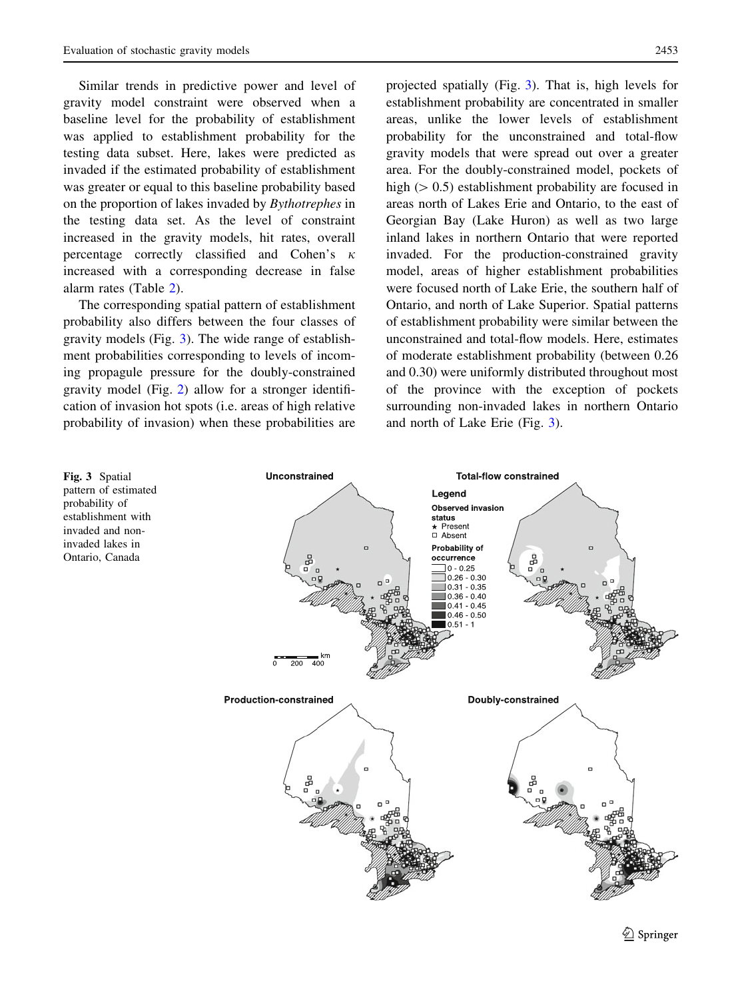Similar trends in predictive power and level of gravity model constraint were observed when a baseline level for the probability of establishment was applied to establishment probability for the testing data subset. Here, lakes were predicted as invaded if the estimated probability of establishment was greater or equal to this baseline probability based on the proportion of lakes invaded by Bythotrephes in the testing data set. As the level of constraint increased in the gravity models, hit rates, overall percentage correctly classified and Cohen's  $\kappa$ increased with a corresponding decrease in false alarm rates (Table [2\)](#page-7-0).

The corresponding spatial pattern of establishment probability also differs between the four classes of gravity models (Fig. 3). The wide range of establishment probabilities corresponding to levels of incoming propagule pressure for the doubly-constrained gravity model (Fig. [2\)](#page-7-0) allow for a stronger identification of invasion hot spots (i.e. areas of high relative probability of invasion) when these probabilities are projected spatially (Fig. 3). That is, high levels for establishment probability are concentrated in smaller areas, unlike the lower levels of establishment probability for the unconstrained and total-flow gravity models that were spread out over a greater area. For the doubly-constrained model, pockets of high  $(0.5)$  establishment probability are focused in areas north of Lakes Erie and Ontario, to the east of Georgian Bay (Lake Huron) as well as two large inland lakes in northern Ontario that were reported invaded. For the production-constrained gravity model, areas of higher establishment probabilities were focused north of Lake Erie, the southern half of Ontario, and north of Lake Superior. Spatial patterns of establishment probability were similar between the unconstrained and total-flow models. Here, estimates of moderate establishment probability (between 0.26 and 0.30) were uniformly distributed throughout most of the province with the exception of pockets surrounding non-invaded lakes in northern Ontario and north of Lake Erie (Fig. 3).



 $\textcircled{2}$  Springer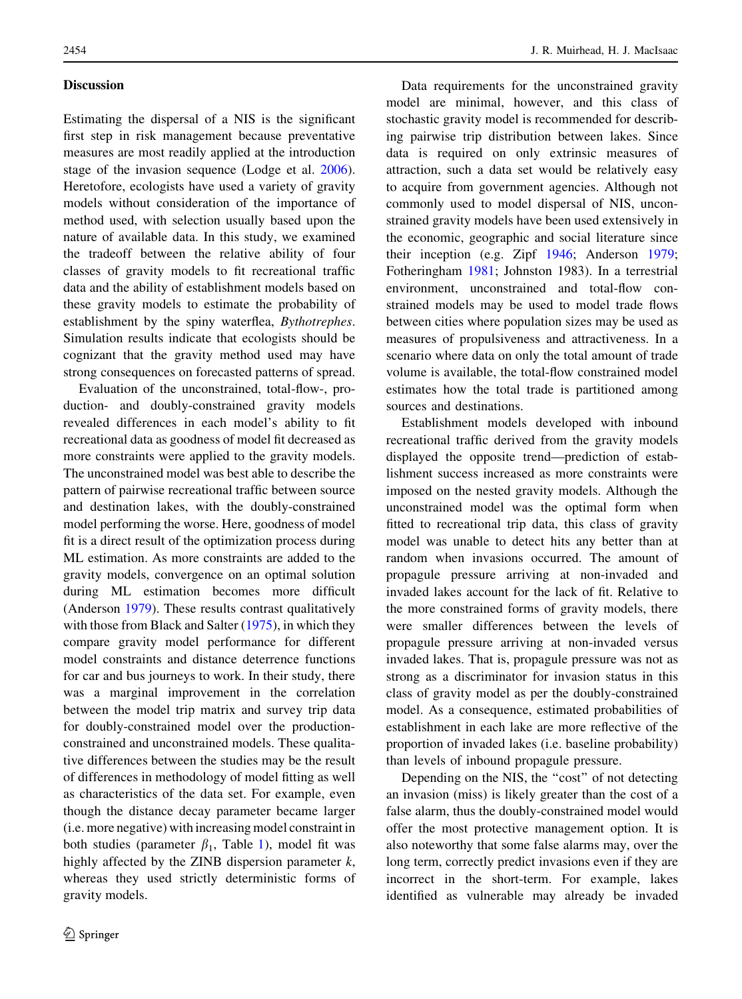# Discussion

Estimating the dispersal of a NIS is the significant first step in risk management because preventative measures are most readily applied at the introduction stage of the invasion sequence (Lodge et al. [2006](#page-12-0)). Heretofore, ecologists have used a variety of gravity models without consideration of the importance of method used, with selection usually based upon the nature of available data. In this study, we examined the tradeoff between the relative ability of four classes of gravity models to fit recreational traffic data and the ability of establishment models based on these gravity models to estimate the probability of establishment by the spiny waterflea, Bythotrephes. Simulation results indicate that ecologists should be cognizant that the gravity method used may have strong consequences on forecasted patterns of spread.

Evaluation of the unconstrained, total-flow-, production- and doubly-constrained gravity models revealed differences in each model's ability to fit recreational data as goodness of model fit decreased as more constraints were applied to the gravity models. The unconstrained model was best able to describe the pattern of pairwise recreational traffic between source and destination lakes, with the doubly-constrained model performing the worse. Here, goodness of model fit is a direct result of the optimization process during ML estimation. As more constraints are added to the gravity models, convergence on an optimal solution during ML estimation becomes more difficult (Anderson [1979\)](#page-11-0). These results contrast qualitatively with those from Black and Salter [\(1975](#page-11-0)), in which they compare gravity model performance for different model constraints and distance deterrence functions for car and bus journeys to work. In their study, there was a marginal improvement in the correlation between the model trip matrix and survey trip data for doubly-constrained model over the productionconstrained and unconstrained models. These qualitative differences between the studies may be the result of differences in methodology of model fitting as well as characteristics of the data set. For example, even though the distance decay parameter became larger (i.e. more negative) with increasing model constraint in both studies (parameter  $\beta_1$  $\beta_1$ , Table 1), model fit was highly affected by the ZINB dispersion parameter  $k$ , whereas they used strictly deterministic forms of gravity models.

Data requirements for the unconstrained gravity model are minimal, however, and this class of stochastic gravity model is recommended for describing pairwise trip distribution between lakes. Since data is required on only extrinsic measures of attraction, such a data set would be relatively easy to acquire from government agencies. Although not commonly used to model dispersal of NIS, unconstrained gravity models have been used extensively in the economic, geographic and social literature since their inception (e.g. Zipf [1946;](#page-13-0) Anderson [1979](#page-11-0); Fotheringham [1981;](#page-12-0) Johnston 1983). In a terrestrial environment, unconstrained and total-flow constrained models may be used to model trade flows between cities where population sizes may be used as measures of propulsiveness and attractiveness. In a scenario where data on only the total amount of trade volume is available, the total-flow constrained model estimates how the total trade is partitioned among sources and destinations.

Establishment models developed with inbound recreational traffic derived from the gravity models displayed the opposite trend—prediction of establishment success increased as more constraints were imposed on the nested gravity models. Although the unconstrained model was the optimal form when fitted to recreational trip data, this class of gravity model was unable to detect hits any better than at random when invasions occurred. The amount of propagule pressure arriving at non-invaded and invaded lakes account for the lack of fit. Relative to the more constrained forms of gravity models, there were smaller differences between the levels of propagule pressure arriving at non-invaded versus invaded lakes. That is, propagule pressure was not as strong as a discriminator for invasion status in this class of gravity model as per the doubly-constrained model. As a consequence, estimated probabilities of establishment in each lake are more reflective of the proportion of invaded lakes (i.e. baseline probability) than levels of inbound propagule pressure.

Depending on the NIS, the ''cost'' of not detecting an invasion (miss) is likely greater than the cost of a false alarm, thus the doubly-constrained model would offer the most protective management option. It is also noteworthy that some false alarms may, over the long term, correctly predict invasions even if they are incorrect in the short-term. For example, lakes identified as vulnerable may already be invaded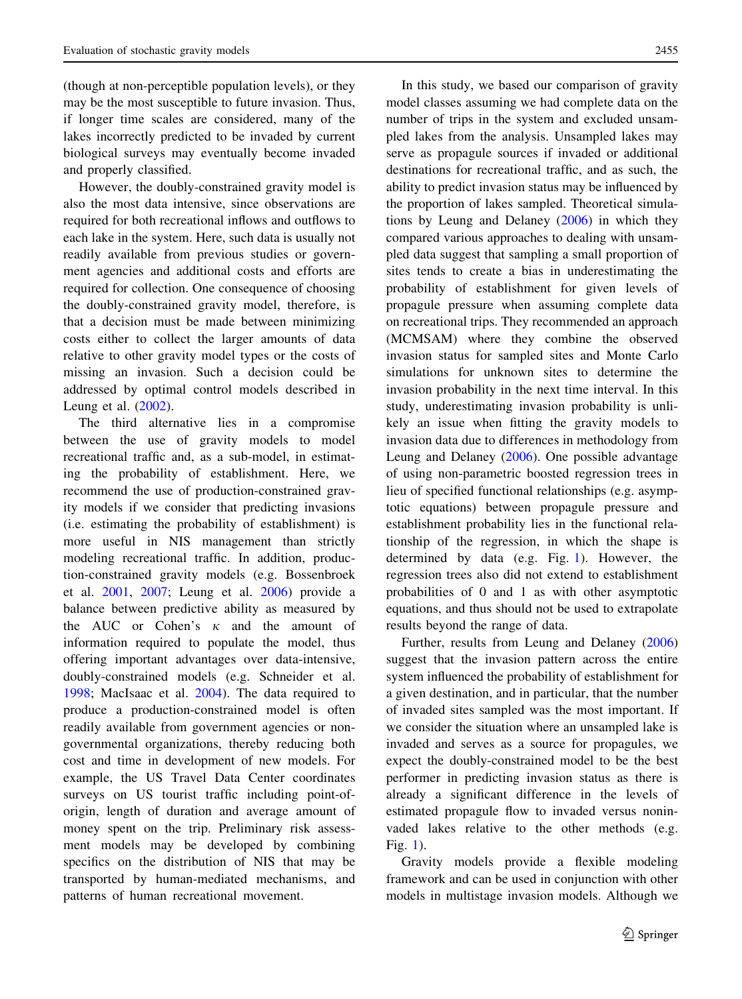(though at non-perceptible population levels), or they may be the most susceptible to future invasion. Thus, if longer time scales are considered, many of the lakes incorrectly predicted to be invaded by current biological surveys may eventually become invaded and properly classified.

However, the doubly-constrained gravity model is also the most data intensive, since observations are required for both recreational inflows and outflows to each lake in the system. Here, such data is usually not readily available from previous studies or government agencies and additional costs and efforts are required for collection. One consequence of choosing the doubly-constrained gravity model, therefore, is that a decision must be made between minimizing costs either to collect the larger amounts of data relative to other gravity model types or the costs of missing an invasion. Such a decision could be addressed by optimal control models described in Leung et al. ([2002\)](#page-12-0).

The third alternative lies in a compromise between the use of gravity models to model recreational traffic and, as a sub-model, in estimating the probability of establishment. Here, we recommend the use of production-constrained gravity models if we consider that predicting invasions (i.e. estimating the probability of establishment) is more useful in NIS management than strictly modeling recreational traffic. In addition, production-constrained gravity models (e.g. Bossenbroek et al. [2001](#page-12-0), [2007;](#page-12-0) Leung et al. [2006](#page-12-0)) provide a balance between predictive ability as measured by the AUC or Cohen's  $\kappa$  and the amount of information required to populate the model, thus offering important advantages over data-intensive, doubly-constrained models (e.g. Schneider et al. [1998;](#page-13-0) MacIsaac et al. [2004\)](#page-12-0). The data required to produce a production-constrained model is often readily available from government agencies or nongovernmental organizations, thereby reducing both cost and time in development of new models. For example, the US Travel Data Center coordinates surveys on US tourist traffic including point-oforigin, length of duration and average amount of money spent on the trip. Preliminary risk assessment models may be developed by combining specifics on the distribution of NIS that may be transported by human-mediated mechanisms, and patterns of human recreational movement.

In this study, we based our comparison of gravity model classes assuming we had complete data on the number of trips in the system and excluded unsampled lakes from the analysis. Unsampled lakes may serve as propagule sources if invaded or additional destinations for recreational traffic, and as such, the ability to predict invasion status may be influenced by the proportion of lakes sampled. Theoretical simulations by Leung and Delaney ([2006\)](#page-12-0) in which they compared various approaches to dealing with unsampled data suggest that sampling a small proportion of sites tends to create a bias in underestimating the probability of establishment for given levels of propagule pressure when assuming complete data on recreational trips. They recommended an approach (MCMSAM) where they combine the observed invasion status for sampled sites and Monte Carlo simulations for unknown sites to determine the invasion probability in the next time interval. In this study, underestimating invasion probability is unlikely an issue when fitting the gravity models to invasion data due to differences in methodology from Leung and Delaney [\(2006\)](#page-12-0). One possible advantage of using non-parametric boosted regression trees in lieu of specified functional relationships (e.g. asymptotic equations) between propagule pressure and establishment probability lies in the functional relationship of the regression, in which the shape is determined by data (e.g. Fig. [1](#page-6-0)). However, the regression trees also did not extend to establishment probabilities of 0 and 1 as with other asymptotic equations, and thus should not be used to extrapolate results beyond the range of data.

Further, results from Leung and Delaney ([2006\)](#page-12-0) suggest that the invasion pattern across the entire system influenced the probability of establishment for a given destination, and in particular, that the number of invaded sites sampled was the most important. If we consider the situation where an unsampled lake is invaded and serves as a source for propagules, we expect the doubly-constrained model to be the best performer in predicting invasion status as there is already a significant difference in the levels of estimated propagule flow to invaded versus noninvaded lakes relative to the other methods (e.g. Fig. [1\)](#page-6-0).

Gravity models provide a flexible modeling framework and can be used in conjunction with other models in multistage invasion models. Although we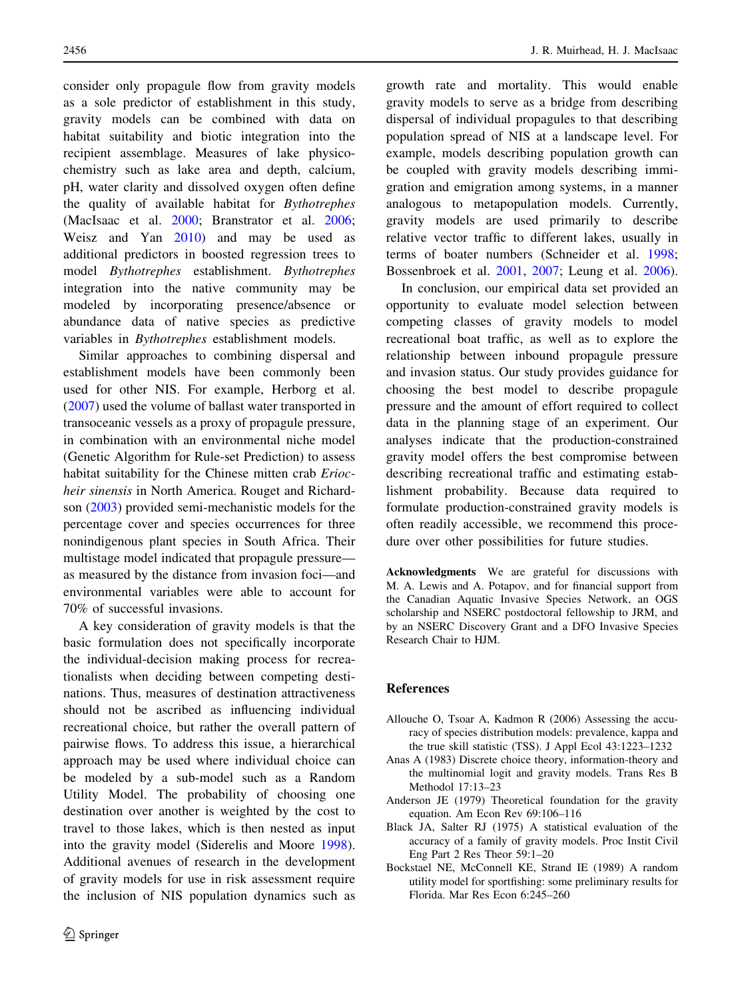<span id="page-11-0"></span>consider only propagule flow from gravity models as a sole predictor of establishment in this study, gravity models can be combined with data on habitat suitability and biotic integration into the recipient assemblage. Measures of lake physicochemistry such as lake area and depth, calcium, pH, water clarity and dissolved oxygen often define the quality of available habitat for Bythotrephes (MacIsaac et al. [2000](#page-12-0); Branstrator et al. [2006](#page-12-0); Weisz and Yan [2010](#page-13-0)) and may be used as additional predictors in boosted regression trees to model Bythotrephes establishment. Bythotrephes integration into the native community may be modeled by incorporating presence/absence or abundance data of native species as predictive variables in Bythotrephes establishment models.

Similar approaches to combining dispersal and establishment models have been commonly been used for other NIS. For example, Herborg et al. [\(2007](#page-12-0)) used the volume of ballast water transported in transoceanic vessels as a proxy of propagule pressure, in combination with an environmental niche model (Genetic Algorithm for Rule-set Prediction) to assess habitat suitability for the Chinese mitten crab Eriocheir sinensis in North America. Rouget and Richardson ([2003\)](#page-13-0) provided semi-mechanistic models for the percentage cover and species occurrences for three nonindigenous plant species in South Africa. Their multistage model indicated that propagule pressure as measured by the distance from invasion foci—and environmental variables were able to account for 70% of successful invasions.

A key consideration of gravity models is that the basic formulation does not specifically incorporate the individual-decision making process for recreationalists when deciding between competing destinations. Thus, measures of destination attractiveness should not be ascribed as influencing individual recreational choice, but rather the overall pattern of pairwise flows. To address this issue, a hierarchical approach may be used where individual choice can be modeled by a sub-model such as a Random Utility Model. The probability of choosing one destination over another is weighted by the cost to travel to those lakes, which is then nested as input into the gravity model (Siderelis and Moore [1998](#page-13-0)). Additional avenues of research in the development of gravity models for use in risk assessment require the inclusion of NIS population dynamics such as

growth rate and mortality. This would enable gravity models to serve as a bridge from describing dispersal of individual propagules to that describing population spread of NIS at a landscape level. For example, models describing population growth can be coupled with gravity models describing immigration and emigration among systems, in a manner analogous to metapopulation models. Currently, gravity models are used primarily to describe relative vector traffic to different lakes, usually in terms of boater numbers (Schneider et al. [1998](#page-13-0); Bossenbroek et al. [2001,](#page-12-0) [2007](#page-12-0); Leung et al. [2006](#page-12-0)).

In conclusion, our empirical data set provided an opportunity to evaluate model selection between competing classes of gravity models to model recreational boat traffic, as well as to explore the relationship between inbound propagule pressure and invasion status. Our study provides guidance for choosing the best model to describe propagule pressure and the amount of effort required to collect data in the planning stage of an experiment. Our analyses indicate that the production-constrained gravity model offers the best compromise between describing recreational traffic and estimating establishment probability. Because data required to formulate production-constrained gravity models is often readily accessible, we recommend this procedure over other possibilities for future studies.

Acknowledgments We are grateful for discussions with M. A. Lewis and A. Potapov, and for financial support from the Canadian Aquatic Invasive Species Network, an OGS scholarship and NSERC postdoctoral fellowship to JRM, and by an NSERC Discovery Grant and a DFO Invasive Species Research Chair to HJM.

#### References

- Allouche O, Tsoar A, Kadmon R (2006) Assessing the accuracy of species distribution models: prevalence, kappa and the true skill statistic (TSS). J Appl Ecol 43:1223–1232
- Anas A (1983) Discrete choice theory, information-theory and the multinomial logit and gravity models. Trans Res B Methodol 17:13–23
- Anderson JE (1979) Theoretical foundation for the gravity equation. Am Econ Rev 69:106–116
- Black JA, Salter RJ (1975) A statistical evaluation of the accuracy of a family of gravity models. Proc Instit Civil Eng Part 2 Res Theor 59:1–20
- Bockstael NE, McConnell KE, Strand IE (1989) A random utility model for sportfishing: some preliminary results for Florida. Mar Res Econ 6:245–260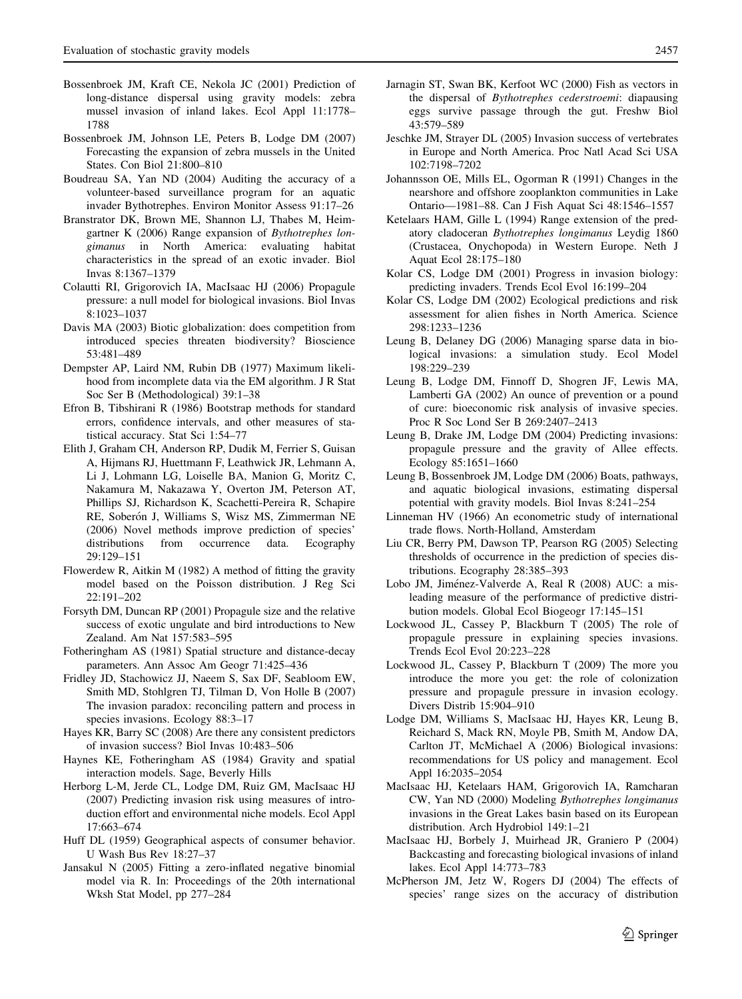- <span id="page-12-0"></span>Bossenbroek JM, Kraft CE, Nekola JC (2001) Prediction of long-distance dispersal using gravity models: zebra mussel invasion of inland lakes. Ecol Appl 11:1778– 1788
- Bossenbroek JM, Johnson LE, Peters B, Lodge DM (2007) Forecasting the expansion of zebra mussels in the United States. Con Biol 21:800–810
- Boudreau SA, Yan ND (2004) Auditing the accuracy of a volunteer-based surveillance program for an aquatic invader Bythotrephes. Environ Monitor Assess 91:17–26
- Branstrator DK, Brown ME, Shannon LJ, Thabes M, Heimgartner K (2006) Range expansion of Bythotrephes longimanus in North America: evaluating habitat characteristics in the spread of an exotic invader. Biol Invas 8:1367–1379
- Colautti RI, Grigorovich IA, MacIsaac HJ (2006) Propagule pressure: a null model for biological invasions. Biol Invas 8:1023–1037
- Davis MA (2003) Biotic globalization: does competition from introduced species threaten biodiversity? Bioscience 53:481–489
- Dempster AP, Laird NM, Rubin DB (1977) Maximum likelihood from incomplete data via the EM algorithm. J R Stat Soc Ser B (Methodological) 39:1–38
- Efron B, Tibshirani R (1986) Bootstrap methods for standard errors, confidence intervals, and other measures of statistical accuracy. Stat Sci 1:54–77
- Elith J, Graham CH, Anderson RP, Dudik M, Ferrier S, Guisan A, Hijmans RJ, Huettmann F, Leathwick JR, Lehmann A, Li J, Lohmann LG, Loiselle BA, Manion G, Moritz C, Nakamura M, Nakazawa Y, Overton JM, Peterson AT, Phillips SJ, Richardson K, Scachetti-Pereira R, Schapire RE, Soberón J, Williams S, Wisz MS, Zimmerman NE (2006) Novel methods improve prediction of species' distributions from occurrence data. Ecography 29:129–151
- Flowerdew R, Aitkin M (1982) A method of fitting the gravity model based on the Poisson distribution. J Reg Sci 22:191–202
- Forsyth DM, Duncan RP (2001) Propagule size and the relative success of exotic ungulate and bird introductions to New Zealand. Am Nat 157:583–595
- Fotheringham AS (1981) Spatial structure and distance-decay parameters. Ann Assoc Am Geogr 71:425–436
- Fridley JD, Stachowicz JJ, Naeem S, Sax DF, Seabloom EW, Smith MD, Stohlgren TJ, Tilman D, Von Holle B (2007) The invasion paradox: reconciling pattern and process in species invasions. Ecology 88:3–17
- Hayes KR, Barry SC (2008) Are there any consistent predictors of invasion success? Biol Invas 10:483–506
- Haynes KE, Fotheringham AS (1984) Gravity and spatial interaction models. Sage, Beverly Hills
- Herborg L-M, Jerde CL, Lodge DM, Ruiz GM, MacIsaac HJ (2007) Predicting invasion risk using measures of introduction effort and environmental niche models. Ecol Appl 17:663–674
- Huff DL (1959) Geographical aspects of consumer behavior. U Wash Bus Rev 18:27–37
- Jansakul N (2005) Fitting a zero-inflated negative binomial model via R. In: Proceedings of the 20th international Wksh Stat Model, pp 277–284
- Jarnagin ST, Swan BK, Kerfoot WC (2000) Fish as vectors in the dispersal of Bythotrephes cederstroemi: diapausing eggs survive passage through the gut. Freshw Biol 43:579–589
- Jeschke JM, Strayer DL (2005) Invasion success of vertebrates in Europe and North America. Proc Natl Acad Sci USA 102:7198–7202
- Johannsson OE, Mills EL, Ogorman R (1991) Changes in the nearshore and offshore zooplankton communities in Lake Ontario—1981–88. Can J Fish Aquat Sci 48:1546–1557
- Ketelaars HAM, Gille L (1994) Range extension of the predatory cladoceran Bythotrephes longimanus Leydig 1860 (Crustacea, Onychopoda) in Western Europe. Neth J Aquat Ecol 28:175–180
- Kolar CS, Lodge DM (2001) Progress in invasion biology: predicting invaders. Trends Ecol Evol 16:199–204
- Kolar CS, Lodge DM (2002) Ecological predictions and risk assessment for alien fishes in North America. Science 298:1233–1236
- Leung B, Delaney DG (2006) Managing sparse data in biological invasions: a simulation study. Ecol Model 198:229–239
- Leung B, Lodge DM, Finnoff D, Shogren JF, Lewis MA, Lamberti GA (2002) An ounce of prevention or a pound of cure: bioeconomic risk analysis of invasive species. Proc R Soc Lond Ser B 269:2407–2413
- Leung B, Drake JM, Lodge DM (2004) Predicting invasions: propagule pressure and the gravity of Allee effects. Ecology 85:1651–1660
- Leung B, Bossenbroek JM, Lodge DM (2006) Boats, pathways, and aquatic biological invasions, estimating dispersal potential with gravity models. Biol Invas 8:241–254
- Linneman HV (1966) An econometric study of international trade flows. North-Holland, Amsterdam
- Liu CR, Berry PM, Dawson TP, Pearson RG (2005) Selecting thresholds of occurrence in the prediction of species distributions. Ecography 28:385–393
- Lobo JM, Jiménez-Valverde A, Real R (2008) AUC: a misleading measure of the performance of predictive distribution models. Global Ecol Biogeogr 17:145–151
- Lockwood JL, Cassey P, Blackburn T (2005) The role of propagule pressure in explaining species invasions. Trends Ecol Evol 20:223–228
- Lockwood JL, Cassey P, Blackburn T (2009) The more you introduce the more you get: the role of colonization pressure and propagule pressure in invasion ecology. Divers Distrib 15:904–910
- Lodge DM, Williams S, MacIsaac HJ, Hayes KR, Leung B, Reichard S, Mack RN, Moyle PB, Smith M, Andow DA, Carlton JT, McMichael A (2006) Biological invasions: recommendations for US policy and management. Ecol Appl 16:2035–2054
- MacIsaac HJ, Ketelaars HAM, Grigorovich IA, Ramcharan CW, Yan ND (2000) Modeling Bythotrephes longimanus invasions in the Great Lakes basin based on its European distribution. Arch Hydrobiol 149:1–21
- MacIsaac HJ, Borbely J, Muirhead JR, Graniero P (2004) Backcasting and forecasting biological invasions of inland lakes. Ecol Appl 14:773–783
- McPherson JM, Jetz W, Rogers DJ (2004) The effects of species' range sizes on the accuracy of distribution